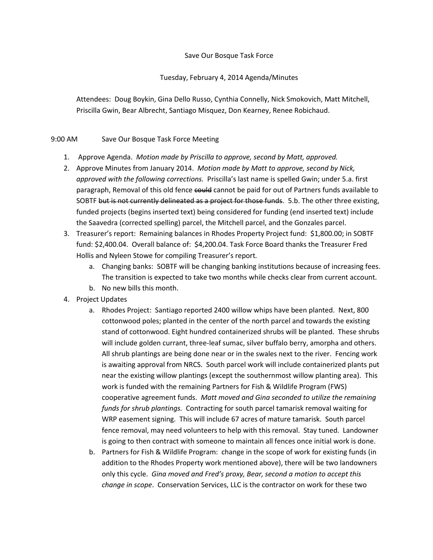## Save Our Bosque Task Force

## Tuesday, February 4, 2014 Agenda/Minutes

Attendees: Doug Boykin, Gina Dello Russo, Cynthia Connelly, Nick Smokovich, Matt Mitchell, Priscilla Gwin, Bear Albrecht, Santiago Misquez, Don Kearney, Renee Robichaud.

## 9:00 AM Save Our Bosque Task Force Meeting

- 1. Approve Agenda. *Motion made by Priscilla to approve, second by Matt, approved.*
- 2. Approve Minutes from January 2014. *Motion made by Matt to approve, second by Nick, approved with the following corrections.* Priscilla's last name is spelled Gwin; under 5.a. first paragraph, Removal of this old fence could cannot be paid for out of Partners funds available to SOBTF but is not currently delineated as a project for those funds. 5.b. The other three existing, funded projects (begins inserted text) being considered for funding (end inserted text) include the Saavedra (corrected spelling) parcel, the Mitchell parcel, and the Gonzales parcel.
- 3. Treasurer's report: Remaining balances in Rhodes Property Project fund: \$1,800.00; in SOBTF fund: \$2,400.04. Overall balance of: \$4,200.04. Task Force Board thanks the Treasurer Fred Hollis and Nyleen Stowe for compiling Treasurer's report*.*
	- a. Changing banks: SOBTF will be changing banking institutions because of increasing fees. The transition is expected to take two months while checks clear from current account*.*
	- b. No new bills this month.
- 4. Project Updates
	- a. Rhodes Project: Santiago reported 2400 willow whips have been planted. Next, 800 cottonwood poles; planted in the center of the north parcel and towards the existing stand of cottonwood. Eight hundred containerized shrubs will be planted. These shrubs will include golden currant, three-leaf sumac, silver buffalo berry, amorpha and others. All shrub plantings are being done near or in the swales next to the river. Fencing work is awaiting approval from NRCS. South parcel work will include containerized plants put near the existing willow plantings (except the southernmost willow planting area). This work is funded with the remaining Partners for Fish & Wildlife Program (FWS) cooperative agreement funds. *Matt moved and Gina seconded to utilize the remaining funds for shrub plantings.* Contracting for south parcel tamarisk removal waiting for WRP easement signing. This will include 67 acres of mature tamarisk. South parcel fence removal, may need volunteers to help with this removal. Stay tuned. Landowner is going to then contract with someone to maintain all fences once initial work is done.
	- b. Partners for Fish & Wildlife Program: change in the scope of work for existing funds (in addition to the Rhodes Property work mentioned above), there will be two landowners only this cycle. *Gina moved and Fred's proxy, Bear, second a motion to accept this change in scope*. Conservation Services, LLC is the contractor on work for these two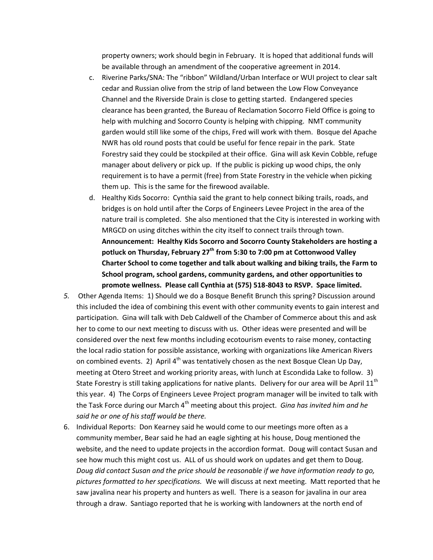property owners; work should begin in February. It is hoped that additional funds will be available through an amendment of the cooperative agreement in 2014.

- c. Riverine Parks/SNA: The "ribbon" Wildland/Urban Interface or WUI project to clear salt cedar and Russian olive from the strip of land between the Low Flow Conveyance Channel and the Riverside Drain is close to getting started. Endangered species clearance has been granted, the Bureau of Reclamation Socorro Field Office is going to help with mulching and Socorro County is helping with chipping. NMT community garden would still like some of the chips, Fred will work with them. Bosque del Apache NWR has old round posts that could be useful for fence repair in the park. State Forestry said they could be stockpiled at their office. Gina will ask Kevin Cobble, refuge manager about delivery or pick up. If the public is picking up wood chips, the only requirement is to have a permit (free) from State Forestry in the vehicle when picking them up. This is the same for the firewood available.
- d. Healthy Kids Socorro: Cynthia said the grant to help connect biking trails, roads, and bridges is on hold until after the Corps of Engineers Levee Project in the area of the nature trail is completed. She also mentioned that the City is interested in working with MRGCD on using ditches within the city itself to connect trails through town. **Announcement: Healthy Kids Socorro and Socorro County Stakeholders are hosting a potluck on Thursday, February 27th from 5:30 to 7:00 pm at Cottonwood Valley Charter School to come together and talk about walking and biking trails, the Farm to School program, school gardens, community gardens, and other opportunities to promote wellness. Please call Cynthia at (575) 518-8043 to RSVP. Space limited.**
- *5.* Other Agenda Items: 1) Should we do a Bosque Benefit Brunch this spring? Discussion around this included the idea of combining this event with other community events to gain interest and participation. Gina will talk with Deb Caldwell of the Chamber of Commerce about this and ask her to come to our next meeting to discuss with us. Other ideas were presented and will be considered over the next few months including ecotourism events to raise money, contacting the local radio station for possible assistance, working with organizations like American Rivers on combined events. 2) April  $4^{th}$  was tentatively chosen as the next Bosque Clean Up Day, meeting at Otero Street and working priority areas, with lunch at Escondida Lake to follow. 3) State Forestry is still taking applications for native plants. Delivery for our area will be April 11<sup>th</sup> this year. 4) The Corps of Engineers Levee Project program manager will be invited to talk with the Task Force during our March 4<sup>th</sup> meeting about this project. *Gina has invited him and he said he or one of his staff would be there.*
- 6. Individual Reports: Don Kearney said he would come to our meetings more often as a community member, Bear said he had an eagle sighting at his house, Doug mentioned the website, and the need to update projects in the accordion format. Doug will contact Susan and see how much this might cost us. ALL of us should work on updates and get them to Doug. *Doug did contact Susan and the price should be reasonable if we have information ready to go, pictures formatted to her specifications.* We will discuss at next meeting. Matt reported that he saw javalina near his property and hunters as well. There is a season for javalina in our area through a draw. Santiago reported that he is working with landowners at the north end of